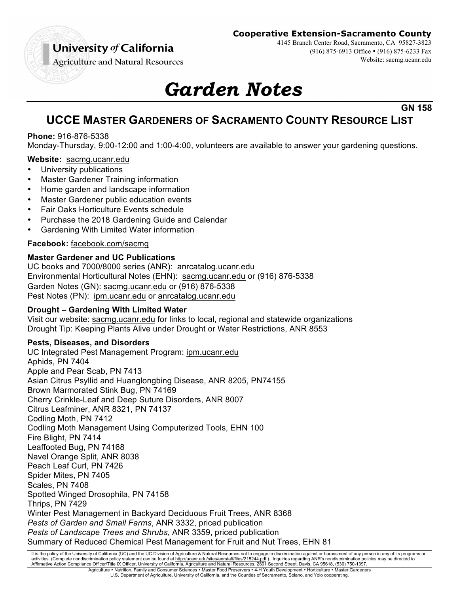# University of California

## **Cooperative Extension-Sacramento County**

4145 Branch Center Road, Sacramento, CA 95827-3823

(916) 875-6913 Office • (916) 875-6233 Fax

Website: sacmg.ucanr.edu

**Agriculture and Natural Resources** 

# *Garden Notes*

**GN 158**

# **UCCE MASTER GARDENERS OF SACRAMENTO COUNTY RESOURCE LIST**

## **Phone:** 916-876-5338

Monday-Thursday, 9:00-12:00 and 1:00-4:00, volunteers are available to answer your gardening questions.

#### **Website:** sacmg.ucanr.edu

- University publications
- Master Gardener Training information
- Home garden and landscape information
- Master Gardener public education events
- Fair Oaks Horticulture Events schedule
- Purchase the 2018 Gardening Guide and Calendar
- Gardening With Limited Water information

### **Facebook:** facebook.com/sacmg

#### **Master Gardener and UC Publications**

UC books and 7000/8000 series (ANR): anrcatalog.ucanr.edu Environmental Horticultural Notes (EHN): sacmg.ucanr.edu or (916) 876-5338 Garden Notes (GN): sacmg.ucanr.edu or (916) 876-5338 Pest Notes (PN): ipm.ucanr.edu or anrcatalog.ucanr.edu

#### **Drought – Gardening With Limited Water**

Visit our website: sacmg.ucanr.edu for links to local, regional and statewide organizations Drought Tip: Keeping Plants Alive under Drought or Water Restrictions, ANR 8553

#### **Pests, Diseases, and Disorders**

UC Integrated Pest Management Program: ipm.ucanr.edu Aphids, PN 7404 Apple and Pear Scab, PN 7413 Asian Citrus Psyllid and Huanglongbing Disease, ANR 8205, PN74155 Brown Marmorated Stink Bug, PN 74169 Cherry Crinkle-Leaf and Deep Suture Disorders, ANR 8007 Citrus Leafminer, ANR 8321, PN 74137 Codling Moth, PN 7412 Codling Moth Management Using Computerized Tools, EHN 100 Fire Blight, PN 7414 Leaffooted Bug, PN 74168 Navel Orange Split, ANR 8038 Peach Leaf Curl, PN 7426 Spider Mites, PN 7405 Scales, PN 7408 Spotted Winged Drosophila, PN 74158 Thrips, PN 7429 Winter Pest Management in Backyard Deciduous Fruit Trees, ANR 8368 *Pests of Garden and Small Farms*, ANR 3332, priced publication *Pests of Landscape Trees and Shrubs*, ANR 3359, priced publication Summary of Reduced Chemical Pest Management for Fruit and Nut Trees, EHN 81

It is the policy of the University of California (UC) and the UC Division of Agriculture & Natural Resources not to engage in discrimination against or harassment of any person in any of its programs or activities. (Complete nondiscrimination policy statement can be found at <u>http://ucanr.edu/sites/anrstaff/files/215244.pdf</u> ). Inquiries regarding ANR's nondiscrimination policies may be directed to<br>Affirmative Action Comp

Agriculture • Nutrition, Family and Consumer Sciences • Master Food Preservers • 4-H Youth Development • Horticulture • Master Gardeners U.S. Department of Agriculture, University of California, and the Counties of Sacramento, Solano, and Yolo cooperating.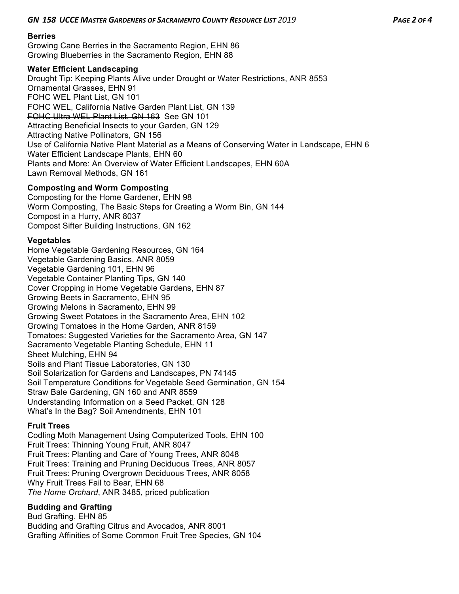#### **Berries**

Growing Cane Berries in the Sacramento Region, EHN 86 Growing Blueberries in the Sacramento Region, EHN 88

#### **Water Efficient Landscaping**

Drought Tip: Keeping Plants Alive under Drought or Water Restrictions, ANR 8553 Ornamental Grasses, EHN 91 FOHC WEL Plant List, GN 101 FOHC WEL, California Native Garden Plant List, GN 139 FOHC Ultra WEL Plant List, GN 163 See GN 101 Attracting Beneficial Insects to your Garden, GN 129 Attracting Native Pollinators, GN 156 Use of California Native Plant Material as a Means of Conserving Water in Landscape, EHN 6 Water Efficient Landscape Plants, EHN 60 Plants and More: An Overview of Water Efficient Landscapes, EHN 60A Lawn Removal Methods, GN 161

#### **Composting and Worm Composting**

Composting for the Home Gardener, EHN 98 Worm Composting, The Basic Steps for Creating a Worm Bin, GN 144 Compost in a Hurry*,* ANR 8037 Compost Sifter Building Instructions, GN 162

#### **Vegetables**

Home Vegetable Gardening Resources, GN 164 Vegetable Gardening Basics, ANR 8059 Vegetable Gardening 101, EHN 96 Vegetable Container Planting Tips, GN 140 Cover Cropping in Home Vegetable Gardens, EHN 87 Growing Beets in Sacramento, EHN 95 Growing Melons in Sacramento, EHN 99 Growing Sweet Potatoes in the Sacramento Area, EHN 102 Growing Tomatoes in the Home Garden, ANR 8159 Tomatoes: Suggested Varieties for the Sacramento Area, GN 147 Sacramento Vegetable Planting Schedule, EHN 11 Sheet Mulching, EHN 94 Soils and Plant Tissue Laboratories, GN 130 Soil Solarization for Gardens and Landscapes, PN 74145 Soil Temperature Conditions for Vegetable Seed Germination, GN 154 Straw Bale Gardening, GN 160 and ANR 8559 Understanding Information on a Seed Packet, GN 128 What's In the Bag? Soil Amendments, EHN 101

#### **Fruit Trees**

Codling Moth Management Using Computerized Tools, EHN 100 Fruit Trees: Thinning Young Fruit, ANR 8047 Fruit Trees: Planting and Care of Young Trees, ANR 8048 Fruit Trees: Training and Pruning Deciduous Trees, ANR 8057 Fruit Trees: Pruning Overgrown Deciduous Trees, ANR 8058 Why Fruit Trees Fail to Bear, EHN 68 *The Home Orchard*, ANR 3485, priced publication

#### **Budding and Grafting**

Bud Grafting, EHN 85 Budding and Grafting Citrus and Avocados, ANR 8001 Grafting Affinities of Some Common Fruit Tree Species, GN 104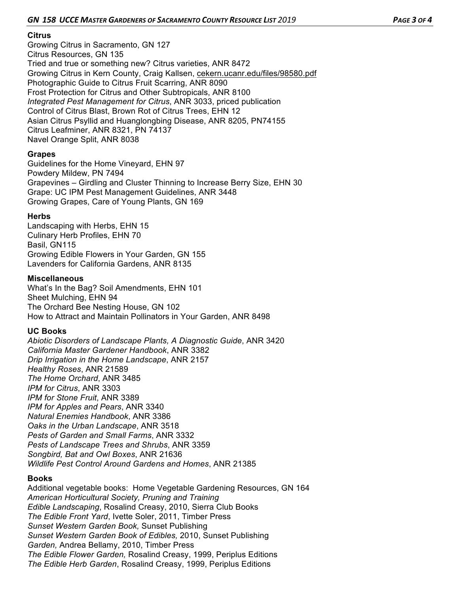#### **Citrus**

Growing Citrus in Sacramento, GN 127 Citrus Resources, GN 135 Tried and true or something new? Citrus varieties, ANR 8472 Growing Citrus in Kern County, Craig Kallsen, cekern.ucanr.edu/files/98580.pdf Photographic Guide to Citrus Fruit Scarring, ANR 8090 Frost Protection for Citrus and Other Subtropicals, ANR 8100 *Integrated Pest Management for Citrus*, ANR 3033, priced publication Control of Citrus Blast, Brown Rot of Citrus Trees, EHN 12 Asian Citrus Psyllid and Huanglongbing Disease, ANR 8205, PN74155 Citrus Leafminer, ANR 8321, PN 74137 Navel Orange Split, ANR 8038

#### **Grapes**

Guidelines for the Home Vineyard, EHN 97 Powdery Mildew, PN 7494 Grapevines – Girdling and Cluster Thinning to Increase Berry Size, EHN 30 Grape: UC IPM Pest Management Guidelines, ANR 3448 Growing Grapes, Care of Young Plants, GN 169

#### **Herbs**

Landscaping with Herbs, EHN 15 Culinary Herb Profiles, EHN 70 Basil, GN115 Growing Edible Flowers in Your Garden, GN 155 Lavenders for California Gardens, ANR 8135

#### **Miscellaneous**

What's In the Bag? Soil Amendments, EHN 101 Sheet Mulching, EHN 94 The Orchard Bee Nesting House, GN 102 How to Attract and Maintain Pollinators in Your Garden, ANR 8498

#### **UC Books**

*Abiotic Disorders of Landscape Plants, A Diagnostic Guide*, ANR 3420 *California Master Gardener Handbook*, ANR 3382 *Drip Irrigation in the Home Landscape*, ANR 2157 *Healthy Roses*, ANR 21589 *The Home Orchard*, ANR 3485 *IPM for Citrus*, ANR 3303 *IPM for Stone Fruit*, ANR 3389 *IPM for Apples and Pears*, ANR 3340 *Natural Enemies Handbook*, ANR 3386 *Oaks in the Urban Landscape*, ANR 3518 *Pests of Garden and Small Farms*, ANR 3332 *Pests of Landscape Trees and Shrubs*, ANR 3359 *Songbird, Bat and Owl Boxes*, ANR 21636 *Wildlife Pest Control Around Gardens and Homes*, ANR 21385

#### **Books**

Additional vegetable books: Home Vegetable Gardening Resources, GN 164 *American Horticultural Society, Pruning and Training Edible Landscaping*, Rosalind Creasy, 2010, Sierra Club Books *The Edible Front Yard*, Ivette Soler, 2011, Timber Press *Sunset Western Garden Book,* Sunset Publishing *Sunset Western Garden Book of Edibles,* 2010, Sunset Publishing *Garden,* Andrea Bellamy, 2010, Timber Press *The Edible Flower Garden,* Rosalind Creasy, 1999, Periplus Editions *The Edible Herb Garden*, Rosalind Creasy, 1999, Periplus Editions